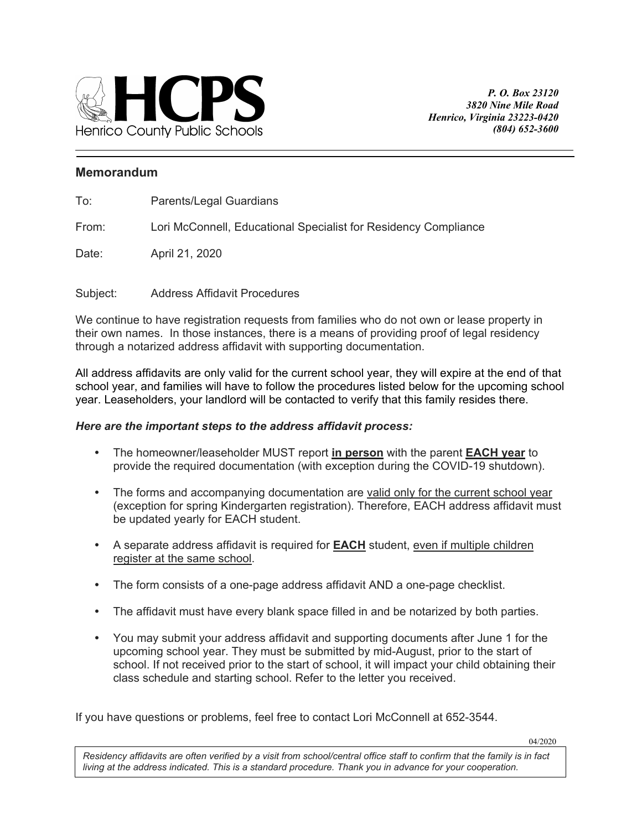

## **Memorandum**

From: Lori McConnell, Educational Specialist for Residency Compliance

Date: April 21, 2020

Subject: Address Affidavit Procedures

We continue to have registration requests from families who do not own or lease property in their own names. In those instances, there is a means of providing proof of legal residency through a notarized address affidavit with supporting documentation.

All address affidavits are only valid for the current school year, they will expire at the end of that school year, and families will have to follow the procedures listed below for the upcoming school year. Leaseholders, your landlord will be contacted to verify that this family resides there.

## *Here are the important steps to the address affidavit process:*

- The homeowner/leaseholder MUST report **in person** with the parent **EACH year** to provide the required documentation (with exception during the COVID-19 shutdown).
- The forms and accompanying documentation are valid only for the current school year (exception for spring Kindergarten registration). Therefore, EACH address affidavit must be updated yearly for EACH student.
- A separate address affidavit is required for **EACH** student, even if multiple children register at the same school.
- The form consists of a one-page address affidavit AND a one-page checklist.
- The affidavit must have every blank space filled in and be notarized by both parties.
- school. If not received prior to the start of school, it will impact your child obtaining their You may submit your address affidavit and supporting documents after June 1 for the upcoming school year. They must be submitted by mid-August, prior to the start of class schedule and starting school. Refer to the letter you received.

If you have questions or problems, feel free to contact Lori McConnell at 652-3544.

04/2020

 *An Equal Opportunity Employer Residency affidavits are often verified by a visit from school/central office staff to confirm that the family is in fact living at the address indicated. This is a standard procedure. Thank you in advance for your cooperation.*<br>Iiving at the address indicated. This is a standard procedure. Thank you in advance for your cooperation.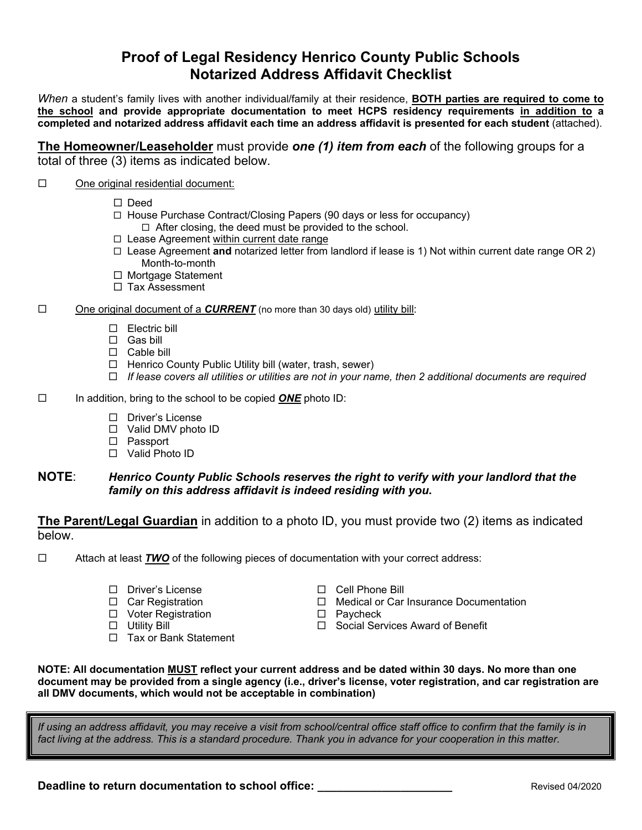# **Proof of Legal Residency Henrico County Public Schools Notarized Address Affidavit Checklist**

*When* a student's family lives with another individual/family at their residence, **BOTH parties are required to come to the school and provide appropriate documentation to meet HCPS residency requirements in addition to a completed and notarized address affidavit each time an address affidavit is presented for each student** (attached).

**The Homeowner/Leaseholder** must provide *one (1) item from each* of the following groups for a total of three (3) items as indicated below.

#### $\Box$ One original residential document:

- $\square$  Deed
- □ House Purchase Contract/Closing Papers (90 days or less for occupancy)
	- $\Box$  After closing, the deed must be provided to the school.
- □ Lease Agreement within current date range
- Lease Agreement **and** notarized letter from landlord if lease is 1) Not within current date range OR 2) Month-to-month
- □ Mortgage Statement
- □ Tax Assessment

#### $\Box$ One original document of a *CURRENT* (no more than 30 days old) utility bill:

- Electric bill
- Gas bill
- □ Cable bill
- □ Henrico County Public Utility bill (water, trash, sewer)
- *If lease covers all utilities or utilities are not in your name, then 2 additional documents are required*
- $\Box$ In addition, bring to the school to be copied *ONE* photo ID:
	- □ Driver's License
	- □ Valid DMV photo ID
	- Passport
	- Valid Photo ID

## **NOTE**: *Henrico County Public Schools reserves the right to verify with your landlord that the family on this address affidavit is indeed residing with you.*

**The Parent/Legal Guardian** in addition to a photo ID, you must provide two (2) items as indicated below.

 $\Box$  Attach at least **TWO** of the following pieces of documentation with your correct address:

- □ Driver's License
- □ Car Registration
- □ Voter Registration
- Utility Bill
- □ Tax or Bank Statement
- □ Cell Phone Bill
- □ Medical or Car Insurance Documentation
- □ Paycheck
- □ Social Services Award of Benefit

**NOTE: All documentation MUST reflect your current address and be dated within 30 days. No more than one document may be provided from a single agency (i.e., driver's license, voter registration, and car registration are all DMV documents, which would not be acceptable in combination)**

*If using an address affidavit, you may receive a visit from school/central office staff office to confirm that the family is in fact living at the address. This is a standard procedure. Thank you in advance for your cooperation in this matter.* 

**Deadline to return documentation to school office: \_\_\_\_\_\_\_\_\_\_\_\_\_\_\_\_\_\_\_\_\_\_\_\_\_\_\_\_** Revised 04/2020